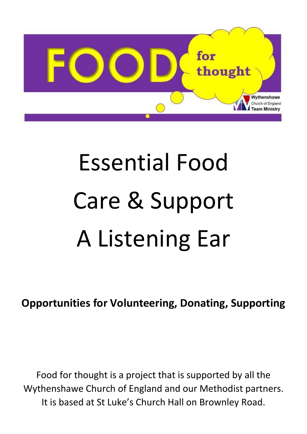

# Essential Food Care & Support A Listening Ear

**Opportunities for Volunteering, Donating, Supporting**

Food for thought is a project that is supported by all the Wythenshawe Church of England and our Methodist partners. It is based at St Luke's Church Hall on Brownley Road.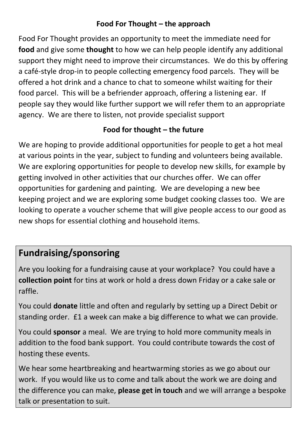#### **Food For Thought – the approach**

Food For Thought provides an opportunity to meet the immediate need for **food** and give some **thought** to how we can help people identify any additional support they might need to improve their circumstances. We do this by offering a café-style drop-in to people collecting emergency food parcels. They will be offered a hot drink and a chance to chat to someone whilst waiting for their food parcel. This will be a befriender approach, offering a listening ear. If people say they would like further support we will refer them to an appropriate agency. We are there to listen, not provide specialist support

#### **Food for thought – the future**

We are hoping to provide additional opportunities for people to get a hot meal at various points in the year, subject to funding and volunteers being available. We are exploring opportunities for people to develop new skills, for example by getting involved in other activities that our churches offer. We can offer opportunities for gardening and painting. We are developing a new bee keeping project and we are exploring some budget cooking classes too. We are looking to operate a voucher scheme that will give people access to our good as new shops for essential clothing and household items.

## **Fundraising/sponsoring**

Are you looking for a fundraising cause at your workplace? You could have a **collection point** for tins at work or hold a dress down Friday or a cake sale or raffle.

You could **donate** little and often and regularly by setting up a Direct Debit or standing order. £1 a week can make a big difference to what we can provide.

You could **sponsor** a meal. We are trying to hold more community meals in addition to the food bank support. You could contribute towards the cost of hosting these events.

We hear some heartbreaking and heartwarming stories as we go about our work. If you would like us to come and talk about the work we are doing and the difference you can make, **please get in touch** and we will arrange a bespoke talk or presentation to suit.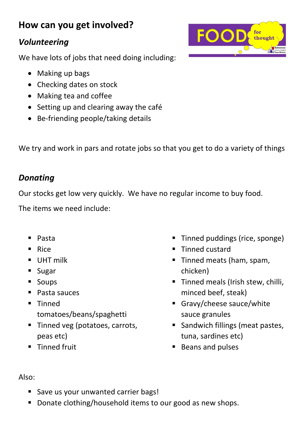## **How can you get involved?**

#### *Volunteering*

We have lots of jobs that need doing including:

- Making up bags
- Checking dates on stock
- Making tea and coffee
- Setting up and clearing away the café
- Be-friending people/taking details

We try and work in pars and rotate jobs so that you get to do a variety of things

### *Donating*

Our stocks get low very quickly. We have no regular income to buy food.

The items we need include:

- Pasta
- Rice
- **UHT milk**
- **Sugar**
- **Soups**
- Pasta sauces
- **Tinned** tomatoes/beans/spaghetti
- Tinned veg (potatoes, carrots, peas etc)
- **Tinned fruit**
- Tinned puddings (rice, sponge)
- Tinned custard
- Tinned meats (ham, spam, chicken)
- **Tinned meals (Irish stew, chilli,** minced beef, steak)
- Gravy/cheese sauce/white sauce granules
- **Sandwich fillings (meat pastes,** tuna, sardines etc)
- Beans and pulses



- Save us your unwanted carrier bags!
- Donate clothing/household items to our good as new shops.